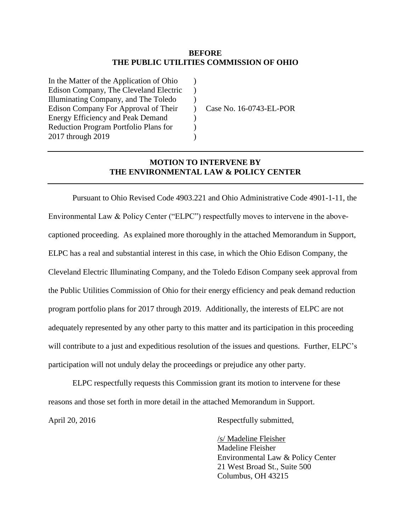### **BEFORE THE PUBLIC UTILITIES COMMISSION OF OHIO**

)  $\lambda$  $\lambda$  $\lambda$ )  $\mathcal{L}$  $\lambda$ 

In the Matter of the Application of Ohio Edison Company, The Cleveland Electric Illuminating Company, and The Toledo Edison Company For Approval of Their Energy Efficiency and Peak Demand Reduction Program Portfolio Plans for 2017 through 2019

Case No. 16-0743-EL-POR

# **MOTION TO INTERVENE BY THE ENVIRONMENTAL LAW & POLICY CENTER**

Pursuant to Ohio Revised Code 4903.221 and Ohio Administrative Code 4901-1-11, the Environmental Law & Policy Center ("ELPC") respectfully moves to intervene in the abovecaptioned proceeding. As explained more thoroughly in the attached Memorandum in Support, ELPC has a real and substantial interest in this case, in which the Ohio Edison Company, the Cleveland Electric Illuminating Company, and the Toledo Edison Company seek approval from the Public Utilities Commission of Ohio for their energy efficiency and peak demand reduction program portfolio plans for 2017 through 2019. Additionally, the interests of ELPC are not adequately represented by any other party to this matter and its participation in this proceeding will contribute to a just and expeditious resolution of the issues and questions. Further, ELPC's participation will not unduly delay the proceedings or prejudice any other party.

ELPC respectfully requests this Commission grant its motion to intervene for these reasons and those set forth in more detail in the attached Memorandum in Support.

April 20, 2016 Respectfully submitted,

/s/ Madeline Fleisher Madeline Fleisher Environmental Law & Policy Center 21 West Broad St., Suite 500 Columbus, OH 43215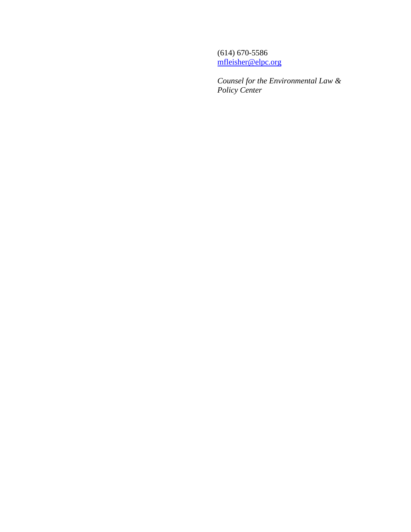(614) 670-5586 [mfleisher@elpc.org](mailto:mfleisher@elpc.org)

*Counsel for the Environmental Law & Policy Center*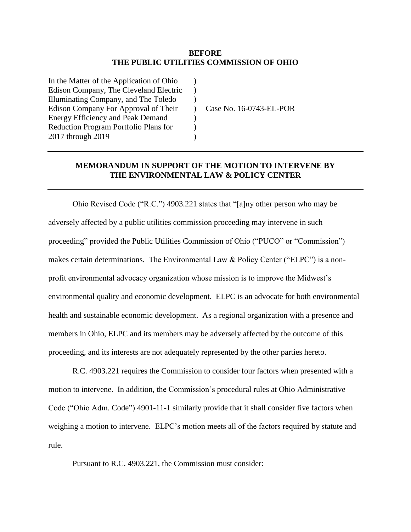### **BEFORE THE PUBLIC UTILITIES COMMISSION OF OHIO**

)  $\lambda$ )  $\lambda$ )  $\mathcal{L}$ )

In the Matter of the Application of Ohio Edison Company, The Cleveland Electric Illuminating Company, and The Toledo Edison Company For Approval of Their Energy Efficiency and Peak Demand Reduction Program Portfolio Plans for 2017 through 2019

Case No. 16-0743-EL-POR

## **MEMORANDUM IN SUPPORT OF THE MOTION TO INTERVENE BY THE ENVIRONMENTAL LAW & POLICY CENTER**

Ohio Revised Code ("R.C.") 4903.221 states that "[a]ny other person who may be adversely affected by a public utilities commission proceeding may intervene in such proceeding" provided the Public Utilities Commission of Ohio ("PUCO" or "Commission") makes certain determinations. The Environmental Law & Policy Center ("ELPC") is a nonprofit environmental advocacy organization whose mission is to improve the Midwest's environmental quality and economic development. ELPC is an advocate for both environmental health and sustainable economic development. As a regional organization with a presence and members in Ohio, ELPC and its members may be adversely affected by the outcome of this proceeding, and its interests are not adequately represented by the other parties hereto.

R.C. 4903.221 requires the Commission to consider four factors when presented with a motion to intervene. In addition, the Commission's procedural rules at Ohio Administrative Code ("Ohio Adm. Code") 4901-11-1 similarly provide that it shall consider five factors when weighing a motion to intervene. ELPC's motion meets all of the factors required by statute and rule.

Pursuant to R.C. 4903.221, the Commission must consider: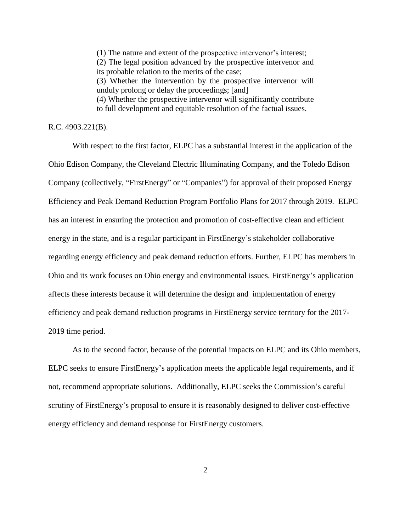(1) The nature and extent of the prospective intervenor's interest; (2) The legal position advanced by the prospective intervenor and its probable relation to the merits of the case; (3) Whether the intervention by the prospective intervenor will unduly prolong or delay the proceedings; [and] (4) Whether the prospective intervenor will significantly contribute to full development and equitable resolution of the factual issues.

# R.C. 4903.221(B).

With respect to the first factor, ELPC has a substantial interest in the application of the Ohio Edison Company, the Cleveland Electric Illuminating Company, and the Toledo Edison Company (collectively, "FirstEnergy" or "Companies") for approval of their proposed Energy Efficiency and Peak Demand Reduction Program Portfolio Plans for 2017 through 2019. ELPC has an interest in ensuring the protection and promotion of cost-effective clean and efficient energy in the state, and is a regular participant in FirstEnergy's stakeholder collaborative regarding energy efficiency and peak demand reduction efforts. Further, ELPC has members in Ohio and its work focuses on Ohio energy and environmental issues. FirstEnergy's application affects these interests because it will determine the design and implementation of energy efficiency and peak demand reduction programs in FirstEnergy service territory for the 2017- 2019 time period.

As to the second factor, because of the potential impacts on ELPC and its Ohio members, ELPC seeks to ensure FirstEnergy's application meets the applicable legal requirements, and if not, recommend appropriate solutions. Additionally, ELPC seeks the Commission's careful scrutiny of FirstEnergy's proposal to ensure it is reasonably designed to deliver cost-effective energy efficiency and demand response for FirstEnergy customers.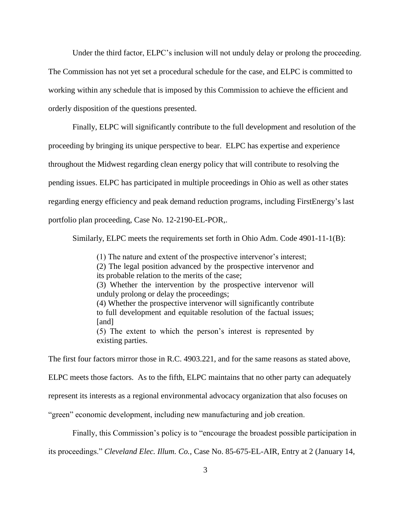Under the third factor, ELPC's inclusion will not unduly delay or prolong the proceeding.

The Commission has not yet set a procedural schedule for the case, and ELPC is committed to working within any schedule that is imposed by this Commission to achieve the efficient and orderly disposition of the questions presented.

Finally, ELPC will significantly contribute to the full development and resolution of the proceeding by bringing its unique perspective to bear. ELPC has expertise and experience throughout the Midwest regarding clean energy policy that will contribute to resolving the pending issues. ELPC has participated in multiple proceedings in Ohio as well as other states regarding energy efficiency and peak demand reduction programs, including FirstEnergy's last portfolio plan proceeding, Case No. 12-2190-EL-POR,.

Similarly, ELPC meets the requirements set forth in Ohio Adm. Code 4901-11-1(B):

(1) The nature and extent of the prospective intervenor's interest; (2) The legal position advanced by the prospective intervenor and its probable relation to the merits of the case; (3) Whether the intervention by the prospective intervenor will unduly prolong or delay the proceedings; (4) Whether the prospective intervenor will significantly contribute to full development and equitable resolution of the factual issues; [and] (5) The extent to which the person's interest is represented by existing parties.

The first four factors mirror those in R.C. 4903.221, and for the same reasons as stated above,

ELPC meets those factors. As to the fifth, ELPC maintains that no other party can adequately

represent its interests as a regional environmental advocacy organization that also focuses on

"green" economic development, including new manufacturing and job creation.

Finally, this Commission's policy is to "encourage the broadest possible participation in

its proceedings." *Cleveland Elec. Illum. Co.,* Case No. 85-675-EL-AIR, Entry at 2 (January 14,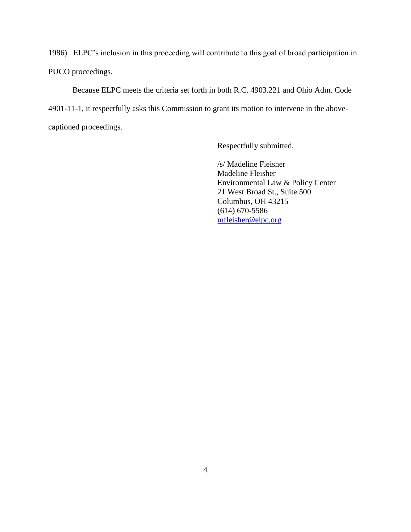1986). ELPC's inclusion in this proceeding will contribute to this goal of broad participation in PUCO proceedings.

Because ELPC meets the criteria set forth in both R.C. 4903.221 and Ohio Adm. Code 4901-11-1, it respectfully asks this Commission to grant its motion to intervene in the abovecaptioned proceedings.

Respectfully submitted,

/s/ Madeline Fleisher Madeline Fleisher Environmental Law & Policy Center 21 West Broad St., Suite 500 Columbus, OH 43215 (614) 670-5586 [mfleisher@elpc.org](mailto:mfleisher@elpc.org)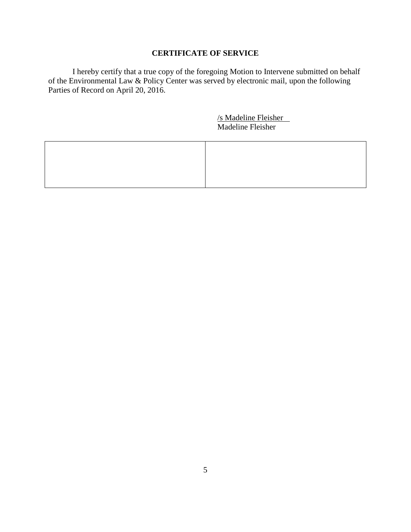# **CERTIFICATE OF SERVICE**

I hereby certify that a true copy of the foregoing Motion to Intervene submitted on behalf of the Environmental Law & Policy Center was served by electronic mail, upon the following Parties of Record on April 20, 2016.

> /s Madeline Fleisher Madeline Fleisher